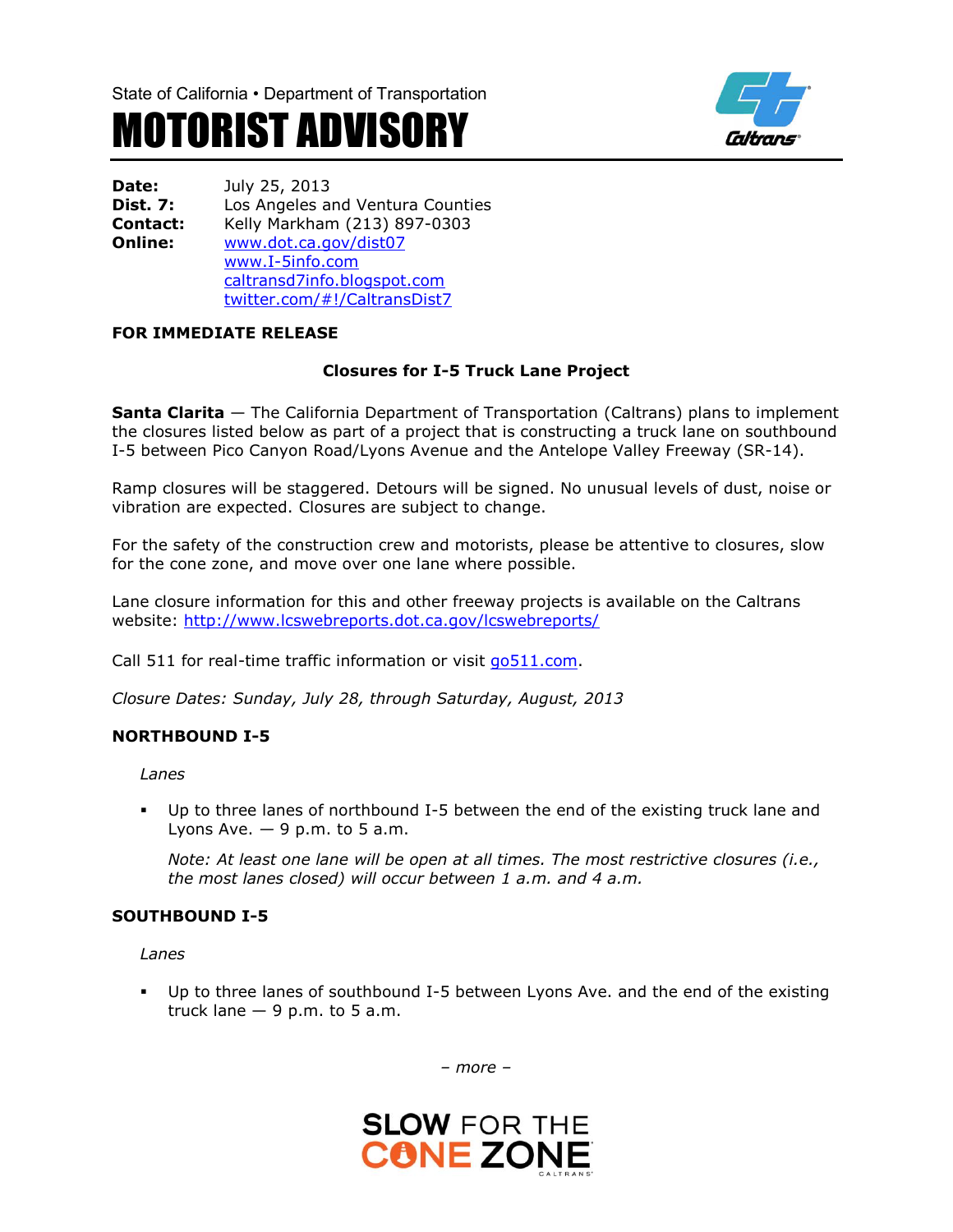



**Date:** July 25, 2013 **Dist. 7:** Los Angeles and Ventura Counties **Contact:** Kelly Markham (213) 897-0303 **Online:** [www.dot.ca.gov/dist07](http://www.dot.ca.gov/dist07) [www.I-5info.com](http://www.i-5info.com/) caltransd7info.blogspot.com twitter.com/#!/CaltransDist7

## **FOR IMMEDIATE RELEASE**

# **Closures for I-5 Truck Lane Project**

**Santa Clarita** — The California Department of Transportation (Caltrans) plans to implement the closures listed below as part of a project that is constructing a truck lane on southbound I-5 between Pico Canyon Road/Lyons Avenue and the Antelope Valley Freeway (SR-14).

Ramp closures will be staggered. Detours will be signed. No unusual levels of dust, noise or vibration are expected. Closures are subject to change.

For the safety of the construction crew and motorists, please be attentive to closures, slow for the cone zone, and move over one lane where possible.

Lane closure information for this and other freeway projects is available on the Caltrans website:<http://www.lcswebreports.dot.ca.gov/lcswebreports/>

Call 511 for real-time traffic information or visit go511.com.

*Closure Dates: Sunday, July 28, through Saturday, August, 2013*

#### **NORTHBOUND I-5**

*Lanes*

 Up to three lanes of northbound I-5 between the end of the existing truck lane and Lyons Ave. *—* 9 p.m. to 5 a.m.

*Note: At least one lane will be open at all times. The most restrictive closures (i.e., the most lanes closed) will occur between 1 a.m. and 4 a.m.* 

#### **SOUTHBOUND I-5**

*Lanes*

 Up to three lanes of southbound I-5 between Lyons Ave. and the end of the existing truck lane  $-9$  p.m. to 5 a.m.

*– more –*